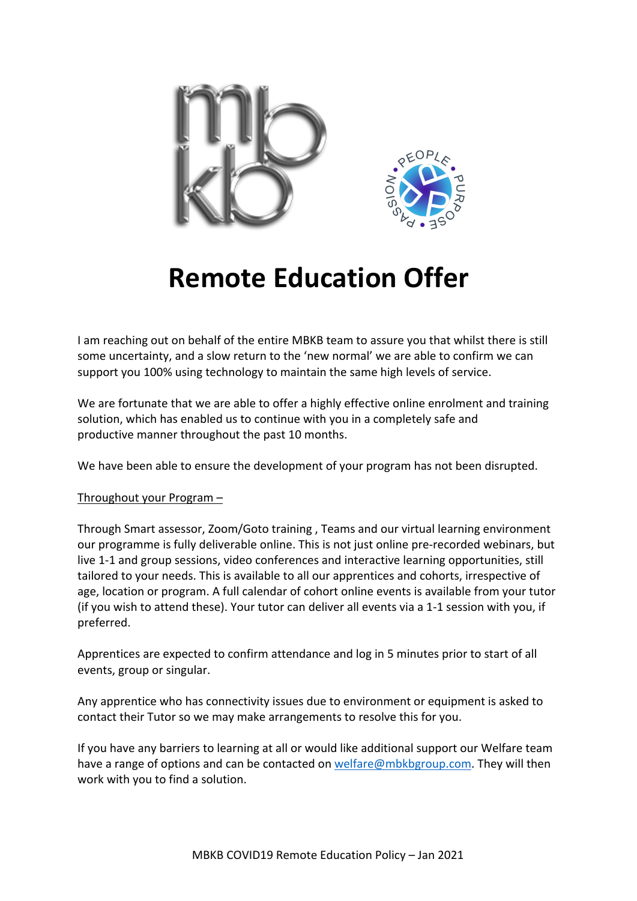

## **Remote Education Offer**

I am reaching out on behalf of the entire MBKB team to assure you that whilst there is still some uncertainty, and a slow return to the 'new normal' we are able to confirm we can support you 100% using technology to maintain the same high levels of service.

We are fortunate that we are able to offer a highly effective online enrolment and training solution, which has enabled us to continue with you in a completely safe and productive manner throughout the past 10 months.

We have been able to ensure the development of your program has not been disrupted.

## Throughout your Program –

Through Smart assessor, Zoom/Goto training , Teams and our virtual learning environment our programme is fully deliverable online. This is not just online pre-recorded webinars, but live 1-1 and group sessions, video conferences and interactive learning opportunities, still tailored to your needs. This is available to all our apprentices and cohorts, irrespective of age, location or program. A full calendar of cohort online events is available from your tutor (if you wish to attend these). Your tutor can deliver all events via a 1-1 session with you, if preferred.

Apprentices are expected to confirm attendance and log in 5 minutes prior to start of all events, group or singular.

Any apprentice who has connectivity issues due to environment or equipment is asked to contact their Tutor so we may make arrangements to resolve this for you.

If you have any barriers to learning at all or would like additional support our Welfare team have a range of options and can be contacted on welfare@mbkbgroup.com. They will then work with you to find a solution.